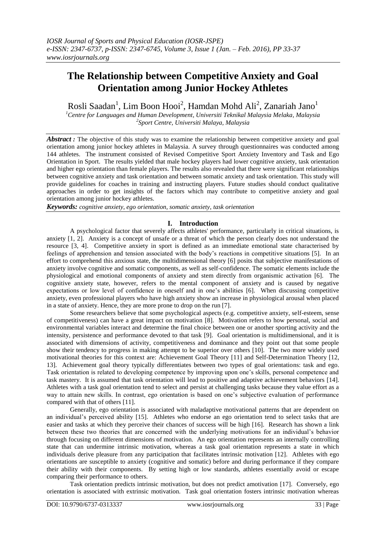# **The Relationship between Competitive Anxiety and Goal Orientation among Junior Hockey Athletes**

Rosli Saadan<sup>1</sup>, Lim Boon Hooi<sup>2</sup>, Hamdan Mohd Ali<sup>2</sup>, Zanariah Jano<sup>1</sup>

*<sup>1</sup>Centre for Languages and Human Development, Universiti Teknikal Malaysia Melaka, Malaysia 2 Sport Centre, Universiti Malaya, Malaysia*

*Abstract :* The objective of this study was to examine the relationship between competitive anxiety and goal orientation among junior hockey athletes in Malaysia. A survey through questionnaires was conducted among 144 athletes. The instrument consisted of Revised Competitive Sport Anxiety Inventory and Task and Ego Orientation in Sport.The results yielded that male hockey players had lower cognitive anxiety, task orientation and higher ego orientation than female players. The results also revealed that there were significant relationships between cognitive anxiety and task orientation and between somatic anxiety and task orientation. This study will provide guidelines for coaches in training and instructing players. Future studies should conduct qualitative approaches in order to get insights of the factors which may contribute to competitive anxiety and goal orientation among junior hockey athletes.

*Keywords: cognitive anxiety, ego orientation, somatic anxiety, task orientation*

# **I. Introduction**

A psychological factor that severely affects athletes' performance, particularly in critical situations, is anxiety [1, 2]. Anxiety is a concept of unsafe or a threat of which the person clearly does not understand the resource [3, 4]. Competitive anxiety in sport is defined as an immediate emotional state characterised by feelings of apprehension and tension associated with the body's reactions in competitive situations [5]. In an effort to comprehend this anxious state, the multidimensional theory [6] posits that subjective manifestations of anxiety involve cognitive and somatic components, as well as self-confidence. The somatic elements include the physiological and emotional components of anxiety and stem directly from organismic activation [6]. The cognitive anxiety state, however, refers to the mental component of anxiety and is caused by negative expectations or low level of confidence in oneself and in one's abilities [6]. When discussing competitive anxiety, even professional players who have high anxiety show an increase in physiological arousal when placed in a state of anxiety. Hence, they are more prone to drop on the run [7].

Some researchers believe that some psychological aspects (e.g. competitive anxiety, self-esteem, sense of competitiveness) can have a great impact on motivation [8]. Motivation refers to how personal, social and environmental variables interact and determine the final choice between one or another sporting activity and the intensity, persistence and performance devoted to that task [9]. Goal orientation is multidimensional, and it is associated with dimensions of activity, competitiveness and dominance and they point out that some people show their tendency to progress in making attempt to be superior over others [10]. The two more widely used motivational theories for this context are: Achievement Goal Theory [11] and Self-Determination Theory [12, 13]. Achievement goal theory typically differentiates between two types of goal orientations: task and ego. Task orientation is related to developing competence by improving upon one's skills, personal competence and task mastery. It is assumed that task orientation will lead to positive and adaptive achievement behaviors [14]. Athletes with a task goal orientation tend to select and persist at challenging tasks because they value effort as a way to attain new skills. In contrast, ego orientation is based on one's subjective evaluation of performance compared with that of others [11].

Generally, ego orientation is associated with maladaptive motivational patterns that are dependent on an individual's perceived ability [15]. Athletes who endorse an ego orientation tend to select tasks that are easier and tasks at which they perceive their chances of success will be high [16]. Research has shown a link between these two theories that are concerned with the underlying motivations for an individual's behavior through focusing on different dimensions of motivation. An ego orientation represents an internally controlling state that can undermine intrinsic motivation, whereas a task goal orientation represents a state in which individuals derive pleasure from any participation that facilitates intrinsic motivation [12]. Athletes with ego orientations are susceptible to anxiety (cognitive and somatic) before and during performance if they compare their ability with their components. By setting high or low standards, athletes essentially avoid or escape comparing their performance to others.

Task orientation predicts intrinsic motivation, but does not predict amotivation [17]. Conversely, ego orientation is associated with extrinsic motivation. Task goal orientation fosters intrinsic motivation whereas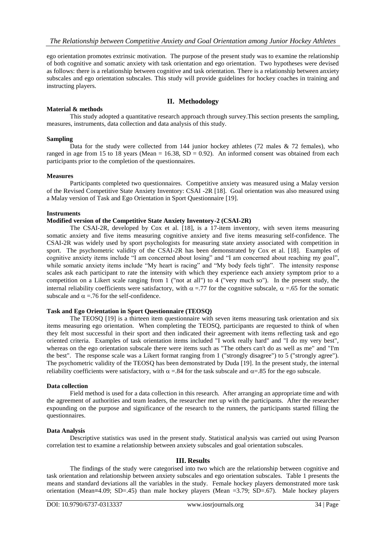ego orientation promotes extrinsic motivation. The purpose of the present study was to examine the relationship of both cognitive and somatic anxiety with task orientation and ego orientation. Two hypotheses were devised as follows: there is a relationship between cognitive and task orientation. There is a relationship between anxiety subscales and ego orientation subscales. This study will provide guidelines for hockey coaches in training and instructing players.

## **II. Methodology**

#### **Material & methods**

This study adopted a quantitative research approach through survey.This section presents the sampling, measures, instruments, data collection and data analysis of this study.

#### **Sampling**

Data for the study were collected from 144 junior hockey athletes  $(72 \text{ males} \& 72 \text{ females})$ , who ranged in age from 15 to 18 years (Mean = 16.38,  $SD = 0.92$ ). An informed consent was obtained from each participants prior to the completion of the questionnaires.

#### **Measures**

Participants completed two questionnaires. Competitive anxiety was measured using a Malay version of the Revised Competitive State Anxiety Inventory: CSAI -2R [18]. Goal orientation was also measured using a Malay version of Task and Ego Orientation in Sport Questionnaire [19].

#### **Instruments**

## **Modified version of the Competitive State Anxiety Inventory-2 (CSAI-2R)**

The CSAI-2R, developed by Cox et al. [18], is a 17-item inventory, with seven items measuring somatic anxiety and five items measuring cognitive anxiety and five items measuring self-confidence. The CSAI-2R was widely used by sport psychologists for measuring state anxiety associated with competition in sport. The psychometric validity of the CSAI-2R has been demonstrated by Cox et al. [18]. Examples of cognitive anxiety items include "I am concerned about losing" and "I am concerned about reaching my goal", while somatic anxiety items include "My heart is racing" and "My body feels tight". The intensity response scales ask each participant to rate the intensity with which they experience each anxiety symptom prior to a competition on a Likert scale ranging from 1 ("not at all") to 4 ("very much so"). In the present study, the internal reliability coefficients were satisfactory, with  $\alpha = .77$  for the cognitive subscale,  $\alpha = .65$  for the somatic subscale and  $\alpha$  =.76 for the self-confidence.

## **Task and Ego Orientation in Sport Questionnaire (TEOSQ)**

The TEOSQ [19] is a thirteen item questionnaire with seven items measuring task orientation and six items measuring ego orientation. When completing the TEOSQ, participants are requested to think of when they felt most successful in their sport and then indicated their agreement with items reflecting task and ego oriented criteria. Examples of task orientation items included "I work really hard" and "I do my very best", whereas on the ego orientation subscale there were items such as "The others can't do as well as me" and "I'm the best". The response scale was a Likert format ranging from 1 ("strongly disagree") to 5 ("strongly agree"). The psychometric validity of the TEOSQ has been demonstrated by Duda [19]. In the present study, the internal reliability coefficients were satisfactory, with  $\alpha = .84$  for the task subscale and  $\alpha = .85$  for the ego subscale.

#### **Data collection**

Field method is used for a data collection in this research. After arranging an appropriate time and with the agreement of authorities and team leaders, the researcher met up with the participants. After the researcher expounding on the purpose and significance of the research to the runners, the participants started filling the questionnaires.

#### **Data Analysis**

Descriptive statistics was used in the present study. Statistical analysis was carried out using Pearson correlation test to examine a relationship between anxiety subscales and goal orientation subscales.

## **III. Results**

The findings of the study were categorised into two which are the relationship between cognitive and task orientation and relationship between anxiety subscales and ego orientation subscales. Table 1 presents the means and standard deviations all the variables in the study. Female hockey players demonstrated more task orientation (Mean**=**4.09; SD=.45) than male hockey players (Mean =3.79; SD=.67). Male hockey players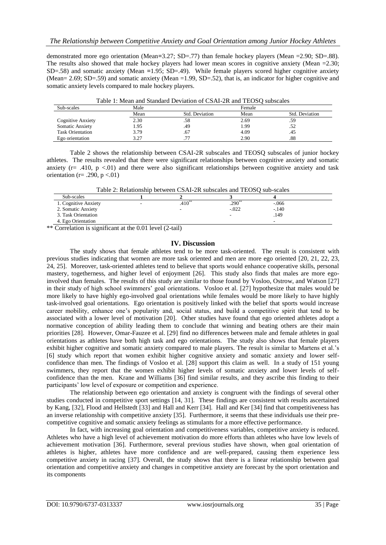demonstrated more ego orientation (Mean**=**3.27; SD=.77) than female hockey players (Mean =2.90; SD=.88). The results also showed that male hockey players had lower mean scores in cognitive anxiety (Mean  $=2.30$ ; SD=.58) and somatic anxiety (Mean **=**1.95; SD=.49). While female players scored higher cognitive anxiety (Mean= 2.69; SD=.59) and somatic anxiety (Mean =1.99, SD=.52), that is, an indicator for higher cognitive and somatic anxiety levels compared to male hockey players.

| Table 1. Mean and Standard Deviation of CSAP-2N and TEOSO subscales |      |                |        |                |  |  |
|---------------------------------------------------------------------|------|----------------|--------|----------------|--|--|
| Sub-scales                                                          | Male |                | Female |                |  |  |
|                                                                     | Mean | Std. Deviation | Mean   | Std. Deviation |  |  |
| <b>Cognitive Anxiety</b>                                            | 2.30 | .58            | 2.69   | .59            |  |  |
| Somatic Anxiety                                                     | l 95 | .49            | l.99   |                |  |  |
| <b>Task Orientation</b>                                             | 3.79 | .67            | 4.09   | .45            |  |  |
| Ego orientation                                                     | 3.27 |                | 2.90   | .88            |  |  |

Table 1: Mean and Standard Deviation of CSAI-2R and TEOSQ subscales

Table 2 shows the relationship between CSAI-2R subscales and TEOSQ subscales of junior hockey athletes. The results revealed that there were significant relationships between cognitive anxiety and somatic anxiety ( $r=$  .410, p <.01) and there were also significant relationships between cognitive anxiety and task orientation (r= .290, p <.01)

Table 2: Relationship between CSAI-2R subscales and TEOSQ sub-scales

| Sub-scales           |             |         |         |  |
|----------------------|-------------|---------|---------|--|
| 1. Cognitive Anxiety | $.410^{**}$ | $.290*$ | $-.066$ |  |
| 2. Somatic Anxiety   | -           | $-.022$ | $-.140$ |  |
| 3. Task Orientation  |             |         | .149    |  |
| 4. Ego Orientation   |             |         | -       |  |

\*\* Correlation is significant at the 0.01 level (2-tail)

# **IV. Discussion**

The study shows that female athletes tend to be more task-oriented. The result is consistent with previous studies indicating that women are more task oriented and men are more ego oriented [20, 21, 22, 23, 24, 25]. Moreover, task-oriented athletes tend to believe that sports would enhance cooperative skills, personal mastery, togetherness, and higher level of enjoyment [26]. This study also finds that males are more egoinvolved than females. The results of this study are similar to those found by Vosloo, Ostrow, and Watson [27] in their study of high school swimmers' goal orientations. Vosloo et al. [27] hypothesize that males would be more likely to have highly ego-involved goal orientations while females would be more likely to have highly task-involved goal orientations. Ego orientation is positively linked with the belief that sports would increase career mobility, enhance one's popularity and, social status, and build a competitive spirit that tend to be associated with a lower level of motivation [20]. Other studies have found that ego oriented athletes adopt a normative conception of ability leading them to conclude that winning and beating others are their main priorities [28]. However, Omar-Fauzee et al. [29] find no differences between male and female athletes in goal orientations as athletes have both high task and ego orientations. The study also shows that female players exhibit higher cognitive and somatic anxiety compared to male players. The result is similar to Martens et al.'s [6] study which report that women exhibit higher cognitive anxiety and somatic anxiety and lower selfconfidence than men. The findings of Vosloo et al. [28] support this claim as well. In a study of 151 young swimmers, they report that the women exhibit higher levels of somatic anxiety and lower levels of selfconfidence than the men. Krane and Williams [36] find similar results, and they ascribe this finding to their participants' low level of exposure or competition and experience.

The relationship between ego orientation and anxiety is congruent with the findings of several other studies conducted in competitive sport settings [14, 31]. These findings are consistent with results ascertained by Kang, [32], Flood and Hellstedt [33] and Hall and Kerr [34]. Hall and Ker [34] find that competitiveness has an inverse relationship with competitive anxiety [35]. Furthermore, it seems that these individuals use their precompetitive cognitive and somatic anxiety feelings as stimulants for a more effective performance.

In fact, with increasing goal orientation and competitiveness variables, competitive anxiety is reduced. Athletes who have a high level of achievement motivation do more efforts than athletes who have low levels of achievement motivation [36]. Furthermore, several previous studies have shown, when goal orientation of athletes is higher, athletes have more confidence and are well-prepared, causing them experience less competitive anxiety in racing [37]. Overall, the study shows that there is a linear relationship between goal orientation and competitive anxiety and changes in competitive anxiety are forecast by the sport orientation and its components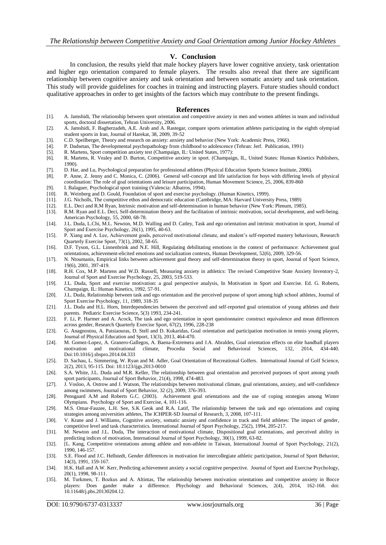## **V. Conclusion**

In conclusion, the results yield that male hockey players have lower cognitive anxiety, task orientation and higher ego orientation compared to female players. The results also reveal that there are significant relationship between cognitive anxiety and task orientation and between somatic anxiety and task orientation. This study will provide guidelines for coaches in training and instructing players. Future studies should conduct qualitative approaches in order to get insights of the factors which may contribute to the present findings.

#### **References**

- [1]. A. Jamshidi, The relationship between sport orientation and competitive anxiety in men and women athletes in team and individual sports, doctoral dissertation, Tehran University, 2006.
- [2]. A. Jamshidi, F. Bagherzadeh, A.E. Arab and A. Rastegar, compare sports orientation athletes participating in the eighth olympiad student sports in Iran, Journal of Harekat, 38, 2009, 39-52
- [3]. C.D. Speilberger, Theory and research on anxiety: anxiety and behavior (New York: Academic Press, 1966).
- [4]. P. Dadsetan, The developmental psychopathology from childhood to adolescence (Tehran: Jerf. Publication, 1991)
- [5]. R. Martens, Sport competition anxiety test (Champaign, IL: United States, 1977): [6]. R. Martens, R. Vealey and D. Burton, Competitive anxiety in sport. (Champaig
- [6]. R. Martens, R. Vealey and D. Burton, Competitive anxiety in sport. (Champaign, IL, United States: Human Kinetics Publishers, 1990).
- [7]. D. Har, and Lu, Psychological preparation for professional athletes (Physical Education Sports Science Institute, 2006).
- [8]. P. Anne, Z. Jenny and C. Monica, C. (2006). General self-concept and life satisfaction for boys with differing levels of physical coordination: The role of goal orientations and leisure participation, Human Movement Science, 25, 2006, 839-860
- [9]. I. Balaguer, Psychological sport training (Valencia: Albatros, 1994). [10]. R. Weinberg and D. Gould, Foundation of sport and exercise psychol
- R. Weinberg and D. Gould, Foundation of sport and exercise psychology. (Human Kinetics, 1999).
- [11]. J.G. Nicholls, The competitive ethos and democratic education (Cambridge, MA: Harvard University Press, 1989)
- [12]. E.L. Deci and R.M Ryan, Intrinsic motivation and self-determination in human behavior (New York: Plenum, 1985).
- [13]. R.M. Ryan and E.L. Deci, Self-determination theory and the facilitation of intrinsic motivation, social development, and well-being. American Psychology, 55, 2000, 68-78.
- [14]. J.L. Duda, L.Chi, M.L. Newton, M.D. Walling and D. Catley, Task and ego orientation and intrinsic motivation in sport, Journal of Sport and Exercise Psychology, 26(1), 1995, 40-63.
- [15]. P. Xiang and A. Lee, Achievement goals, perceived motivational climate, and student's self-reported mastery behaviours, Research Quarterly Exercise Sport, 73(1), 2002, 58-65.
- [16]. D.F. Tyson, G.L. Linnenbrink and N.E. Hill, Regulating debilitating emotions in the context of performance: Achievement goal orientations, achievement-elicited emotions and socialization contexts, Human Development, 52(6), 2009, 329-56.
- [17]. N. Ntoumanis, Empirical links between achievement goal theory and self-determination theory in sport, Journal of Sport Science, 19(6), 2001, 397-419.
- [18]. R.H. Cox, M.P. Martens and W.D. Russell, Measuring anxiety in athletics: The revised Competitive State Anxiety Inventory-2, Journal of Sport and Exercise Psychology, 25, 2003, 519-533.
- [19]. J.L. Duda, Sport and exercise motivation: a goal perspective analysis, In Motivation in Sport and Exercise. Ed. G. Roberts, Champaign, IL: Human Kinetics, 1992, 57-91.
- [20]. J.L. Duda, Relationship between task and ego orientation and the perceived purpose of sport among high school athletes, Journal of Sport Exercise Psychology, 11, 1989, 318-35
- [21]. J.L. Duda and H.L. Horn, Interdependencies between the perceived and self-reported goal orientation of young athletes and their parents. Pediatric Exercise Science, 5(3) 1993, 234-241.
- [22]. F. Li, P. Harmer and A. Acock, The task and ego orientation in sport questionnaire: construct equivalence and mean differences across gender, Research Quarterly Exercise Sport, 67(2), 1996, 228-238
- [23]. G. Anagnostou, A. Patsiaouras, D. Stell and D. Kokaridas, Goal orientation and participation motivation in tennis young players, Journal of Physical Education and Sport, 13(3), 2013, 464-470.
- [24]. M. Gomez-Lopez, A. Granero-Gallegos, A. Baena-Extremera and J.A. Abraldes, Goal orientation effects on elite handball players motivation and motivational climate, Procedia Social and Behavioral Sciences, 132, 2014, 434-440. Doi:10.1016/j.sbspro.2014.04.333
- [25]. D. Sachau, L. Simmering, W. Ryan and M. Adler, Goal Orientation of Recreational Golfers. International Journal of Golf Science, 2(2), 2013, 95-115. Doi: 10.1123/ijgs.2013-0010
- [26]. S.A. White, J.L. Duda and M.R. Keller, The relationship between goal orientation and perceived purposes of sport among youth sport participants, Journal of Sport Behavior, 21(4), 1998, 474-483.
- [27]. J. Vosloo, A. Ostrow and J. Watson, The relationships between motivational climate, goal orientations, anxiety, and self-confidence among swimmers, Journal of Sport Behavior, 32 (2), 2009, 376-393.
- [28]. Pensgaard A.M and Roberts G.C. (2003). Achievement goal orientations and the use of coping strategies among Winter Olympians. Psychology of Sport and Exercise, 4, 101-116.
- [29]. M.S. Omar-Fauzee, L.H. See, S.K Geok and R.A. Latif, The relationship between the task and ego orientations and coping strategies among universities athletes, The ICHPER-SD Journal of Research, 3, 2008, 107-111.
- [30]. V. Krane and J. Williams, Cognitive anxiety, somatic anxiety and confidence in track and field athletes: The impact of gender, competitive level and task characteristics. International Journal of Sport Psychology, 25(2), 1994, 205-217.
- [31]. M. Newton and J.L. Duda, The interaction of motivational climate, Dispositional goal orientations, and perceived ability in predicting indices of motivation, International Journal of Sport Psychology, 30(1), 1999, 63-82.
- [32]. [L. Kang, Competitive orientations among athlete and non-athlete in Taiwan, International Journal of Sport Psychology, 21(2), 1990, 146-157.
- [33]. S.E. Flood and J.C. Hellstedt, Gender differences in motivation for intercollegiate athletic participation, Journal of Sport Behavior, 14(3), 1991, 159-167.
- [34]. H.K. Hall and A.W. Kerr, Predicting achievement anxiety a social cognitive perspective. Journal of Sport and Exercise Psychology, 20(1), 1998, 98-111.
- [35]. M. Turkmen, T. Bozkus and A. Altintas, The relationship between motivation orientations and competitive anxiety in Bocce players: Does gander make a difference. Phychology and Behavioral Sciences, 2(4), 2014, 162-168. doi: 10.11648/j.pbs.20130204.12.